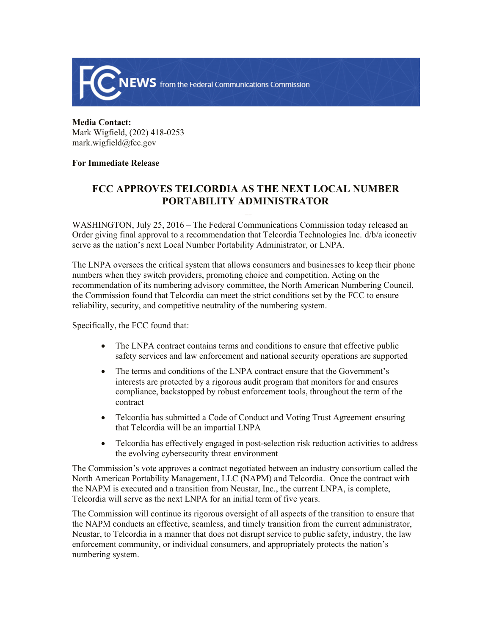

## **Media Contact:**  Mark Wigfield, (202) 418-0253 mark.wigfield@fcc.gov

## **For Immediate Release**

## **FCC APPROVES TELCORDIA AS THE NEXT LOCAL NUMBER PORTABILITY ADMINISTRATOR**

WASHINGTON, July 25, 2016 – The Federal Communications Commission today released an Order giving final approval to a recommendation that Telcordia Technologies Inc. d/b/a iconectiv serve as the nation's next Local Number Portability Administrator, or LNPA.

The LNPA oversees the critical system that allows consumers and businesses to keep their phone numbers when they switch providers, promoting choice and competition. Acting on the recommendation of its numbering advisory committee, the North American Numbering Council, the Commission found that Telcordia can meet the strict conditions set by the FCC to ensure reliability, security, and competitive neutrality of the numbering system.

Specifically, the FCC found that:

- The LNPA contract contains terms and conditions to ensure that effective public safety services and law enforcement and national security operations are supported
- The terms and conditions of the LNPA contract ensure that the Government's interests are protected by a rigorous audit program that monitors for and ensures compliance, backstopped by robust enforcement tools, throughout the term of the contract
- Telcordia has submitted a Code of Conduct and Voting Trust Agreement ensuring that Telcordia will be an impartial LNPA
- Telcordia has effectively engaged in post-selection risk reduction activities to address the evolving cybersecurity threat environment

The Commission's vote approves a contract negotiated between an industry consortium called the North American Portability Management, LLC (NAPM) and Telcordia. Once the contract with the NAPM is executed and a transition from Neustar, Inc., the current LNPA, is complete, Telcordia will serve as the next LNPA for an initial term of five years.

The Commission will continue its rigorous oversight of all aspects of the transition to ensure that the NAPM conducts an effective, seamless, and timely transition from the current administrator, Neustar, to Telcordia in a manner that does not disrupt service to public safety, industry, the law enforcement community, or individual consumers, and appropriately protects the nation's numbering system.